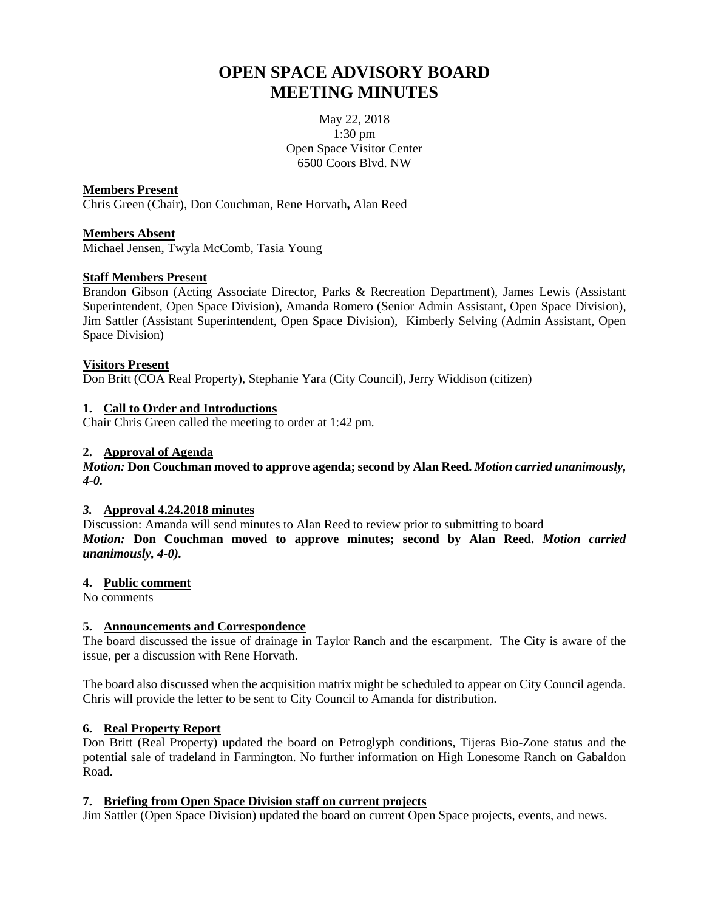# **OPEN SPACE ADVISORY BOARD MEETING MINUTES**

May 22, 2018 1:30 pm Open Space Visitor Center 6500 Coors Blvd. NW

# **Members Present**

Chris Green (Chair), Don Couchman, Rene Horvath**,** Alan Reed

# **Members Absent**

Michael Jensen, Twyla McComb, Tasia Young

# **Staff Members Present**

Brandon Gibson (Acting Associate Director, Parks & Recreation Department), James Lewis (Assistant Superintendent, Open Space Division), Amanda Romero (Senior Admin Assistant, Open Space Division), Jim Sattler (Assistant Superintendent, Open Space Division), Kimberly Selving (Admin Assistant, Open Space Division)

# **Visitors Present**

Don Britt (COA Real Property), Stephanie Yara (City Council), Jerry Widdison (citizen)

# **1. Call to Order and Introductions**

Chair Chris Green called the meeting to order at 1:42 pm.

# **2. Approval of Agenda**

*Motion:* **Don Couchman moved to approve agenda; second by Alan Reed.** *Motion carried unanimously, 4-0.*

#### *3.* **Approval 4.24.2018 minutes**

Discussion: Amanda will send minutes to Alan Reed to review prior to submitting to board *Motion:* **Don Couchman moved to approve minutes; second by Alan Reed.** *Motion carried unanimously, 4-0).*

#### **4. Public comment**

No comments

# **5. Announcements and Correspondence**

The board discussed the issue of drainage in Taylor Ranch and the escarpment. The City is aware of the issue, per a discussion with Rene Horvath.

The board also discussed when the acquisition matrix might be scheduled to appear on City Council agenda. Chris will provide the letter to be sent to City Council to Amanda for distribution.

# **6. Real Property Report**

Don Britt (Real Property) updated the board on Petroglyph conditions, Tijeras Bio-Zone status and the potential sale of tradeland in Farmington. No further information on High Lonesome Ranch on Gabaldon Road.

#### **7. Briefing from Open Space Division staff on current projects**

Jim Sattler (Open Space Division) updated the board on current Open Space projects, events, and news.